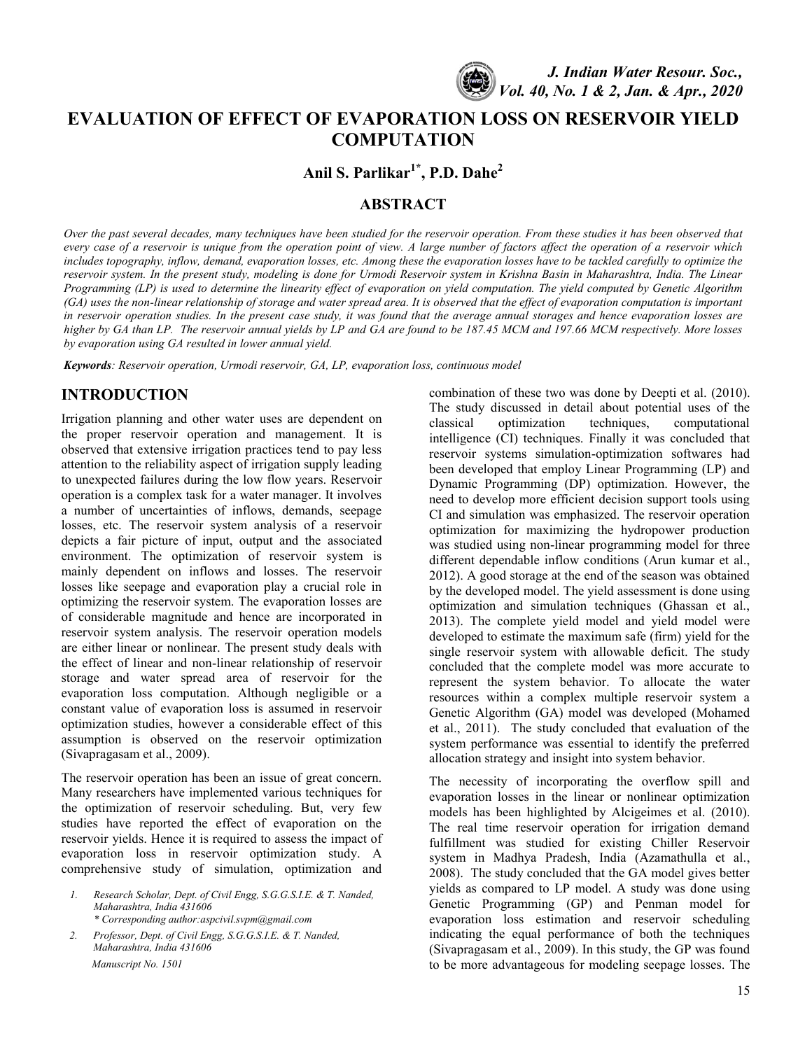

# **EVALUATION OF EFFECT OF EVAPORATION LOSS ON RESERVOIR YIELD COMPUTATION**

**Anil S. Parlikar1\* , P.D. Dahe<sup>2</sup>**

# **ABSTRACT**

*Over the past several decades, many techniques have been studied for the reservoir operation. From these studies it has been observed that every case of a reservoir is unique from the operation point of view. A large number of factors affect the operation of a reservoir which includes topography, inflow, demand, evaporation losses, etc. Among these the evaporation losses have to be tackled carefully to optimize the reservoir system. In the present study, modeling is done for Urmodi Reservoir system in Krishna Basin in Maharashtra, India. The Linear Programming (LP) is used to determine the linearity effect of evaporation on yield computation. The yield computed by Genetic Algorithm (GA) uses the non-linear relationship of storage and water spread area. It is observed that the effect of evaporation computation is important in reservoir operation studies. In the present case study, it was found that the average annual storages and hence evaporation losses are higher by GA than LP. The reservoir annual yields by LP and GA are found to be 187.45 MCM and 197.66 MCM respectively. More losses by evaporation using GA resulted in lower annual yield.*

*Keywords: Reservoir operation, Urmodi reservoir, GA, LP, evaporation loss, continuous model*

# **INTRODUCTION**

Irrigation planning and other water uses are dependent on the proper reservoir operation and management. It is observed that extensive irrigation practices tend to pay less attention to the reliability aspect of irrigation supply leading to unexpected failures during the low flow years. Reservoir operation is a complex task for a water manager. It involves a number of uncertainties of inflows, demands, seepage losses, etc. The reservoir system analysis of a reservoir depicts a fair picture of input, output and the associated environment. The optimization of reservoir system is mainly dependent on inflows and losses. The reservoir losses like seepage and evaporation play a crucial role in optimizing the reservoir system. The evaporation losses are of considerable magnitude and hence are incorporated in reservoir system analysis. The reservoir operation models are either linear or nonlinear. The present study deals with the effect of linear and non-linear relationship of reservoir storage and water spread area of reservoir for the evaporation loss computation. Although negligible or a constant value of evaporation loss is assumed in reservoir optimization studies, however a considerable effect of this assumption is observed on the reservoir optimization (Sivapragasam et al., 2009).

The reservoir operation has been an issue of great concern. Many researchers have implemented various techniques for the optimization of reservoir scheduling. But, very few studies have reported the effect of evaporation on the reservoir yields. Hence it is required to assess the impact of evaporation loss in reservoir optimization study. A comprehensive study of simulation, optimization and

*1. Research Scholar, Dept. of Civil Engg, S.G.G.S.I.E. & T. Nanded, Maharashtra, India 431606 \* Corresponding author[:aspcivil.svpm@gmail.com](mailto:aspcivil.svpm@gmail.com)*

*2. Professor, Dept. of Civil Engg, S.G.G.S.I.E. & T. Nanded, Maharashtra, India 431606 Manuscript No. 1501*

combination of these two was done by Deepti et al. (2010). The study discussed in detail about potential uses of the classical optimization techniques, computational intelligence (CI) techniques. Finally it was concluded that reservoir systems simulation-optimization softwares had been developed that employ Linear Programming (LP) and Dynamic Programming (DP) optimization. However, the need to develop more efficient decision support tools using CI and simulation was emphasized. The reservoir operation optimization for maximizing the hydropower production was studied using non-linear programming model for three different dependable inflow conditions (Arun kumar et al., 2012). A good storage at the end of the season was obtained by the developed model. The yield assessment is done using optimization and simulation techniques (Ghassan et al., 2013). The complete yield model and yield model were developed to estimate the maximum safe (firm) yield for the single reservoir system with allowable deficit. The study concluded that the complete model was more accurate to represent the system behavior. To allocate the water resources within a complex multiple reservoir system a Genetic Algorithm (GA) model was developed (Mohamed et al., 2011). The study concluded that evaluation of the system performance was essential to identify the preferred allocation strategy and insight into system behavior.

The necessity of incorporating the overflow spill and evaporation losses in the linear or nonlinear optimization models has been highlighted by Alcigeimes et al. (2010). The real time reservoir operation for irrigation demand fulfillment was studied for existing Chiller Reservoir system in Madhya Pradesh, India (Azamathulla et al., 2008). The study concluded that the GA model gives better yields as compared to LP model. A study was done using Genetic Programming (GP) and Penman model for evaporation loss estimation and reservoir scheduling indicating the equal performance of both the techniques (Sivapragasam et al., 2009). In this study, the GP was found to be more advantageous for modeling seepage losses. The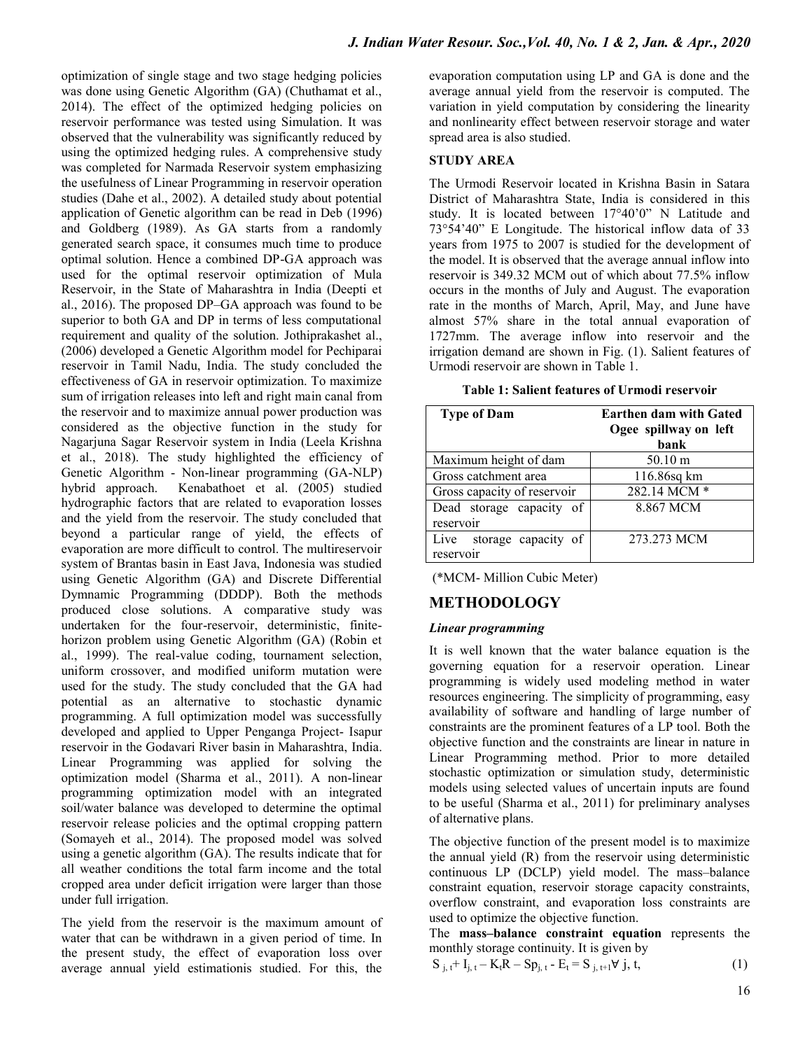optimization of single stage and two stage hedging policies was done using Genetic Algorithm (GA) (Chuthamat et al., 2014). The effect of the optimized hedging policies on reservoir performance was tested using Simulation. It was observed that the vulnerability was significantly reduced by using the optimized hedging rules. A comprehensive study was completed for Narmada Reservoir system emphasizing the usefulness of Linear Programming in reservoir operation studies (Dahe et al., 2002). A detailed study about potential application of Genetic algorithm can be read in Deb (1996) and Goldberg (1989). As GA starts from a randomly generated search space, it consumes much time to produce optimal solution. Hence a combined DP-GA approach was used for the optimal reservoir optimization of Mula Reservoir, in the State of Maharashtra in India (Deepti et al., 2016). The proposed DP–GA approach was found to be superior to both GA and DP in terms of less computational requirement and quality of the solution. Jothiprakashet al., (2006) developed a Genetic Algorithm model for Pechiparai reservoir in Tamil Nadu, India. The study concluded the effectiveness of GA in reservoir optimization. To maximize sum of irrigation releases into left and right main canal from the reservoir and to maximize annual power production was considered as the objective function in the study for Nagarjuna Sagar Reservoir system in India (Leela Krishna et al., 2018). The study highlighted the efficiency of Genetic Algorithm - Non-linear programming (GA-NLP) hybrid approach. Kenabathoet et al. (2005) studied hydrographic factors that are related to evaporation losses and the yield from the reservoir. The study concluded that beyond a particular range of yield, the effects of evaporation are more difficult to control. The multireservoir system of Brantas basin in East Java, Indonesia was studied using Genetic Algorithm (GA) and Discrete Differential Dymnamic Programming (DDDP). Both the methods produced close solutions. A comparative study was undertaken for the four-reservoir, deterministic, finitehorizon problem using Genetic Algorithm (GA) (Robin et al., 1999). The real-value coding, tournament selection, uniform crossover, and modified uniform mutation were used for the study. The study concluded that the GA had potential as an alternative to stochastic dynamic programming. A full optimization model was successfully developed and applied to Upper Penganga Project- Isapur reservoir in the Godavari River basin in Maharashtra, India. Linear Programming was applied for solving the optimization model (Sharma et al., 2011). A non-linear programming optimization model with an integrated soil/water balance was developed to determine the optimal reservoir release policies and the optimal cropping pattern (Somayeh et al., 2014). The proposed model was solved using a genetic algorithm (GA). The results indicate that for all weather conditions the total farm income and the total cropped area under deficit irrigation were larger than those under full irrigation.

The yield from the reservoir is the maximum amount of water that can be withdrawn in a given period of time. In the present study, the effect of evaporation loss over average annual yield estimationis studied. For this, the

evaporation computation using LP and GA is done and the average annual yield from the reservoir is computed. The variation in yield computation by considering the linearity and nonlinearity effect between reservoir storage and water spread area is also studied.

### **STUDY AREA**

The Urmodi Reservoir located in Krishna Basin in Satara District of Maharashtra State, India is considered in this study. It is located between 17°40"0" N Latitude and 73°54"40" E Longitude. The historical inflow data of 33 years from 1975 to 2007 is studied for the development of the model. It is observed that the average annual inflow into reservoir is 349.32 MCM out of which about 77.5% inflow occurs in the months of July and August. The evaporation rate in the months of March, April, May, and June have almost 57% share in the total annual evaporation of 1727mm. The average inflow into reservoir and the irrigation demand are shown in Fig. (1). Salient features of Urmodi reservoir are shown in Table 1.

| <b>Type of Dam</b>          | <b>Earthen dam with Gated</b><br>Ogee spillway on left |
|-----------------------------|--------------------------------------------------------|
|                             | bank                                                   |
| Maximum height of dam       | $50.10 \text{ m}$                                      |
| Gross catchment area        | 116.86sq km                                            |
| Gross capacity of reservoir | $282.14 MCM *$                                         |
| Dead storage capacity of    | 8.867 MCM                                              |
| reservoir                   |                                                        |
| Live storage capacity of    | 273.273 MCM                                            |
| reservoir                   |                                                        |

**Table 1: Salient features of Urmodi reservoir**

(\*MCM- Million Cubic Meter)

## **METHODOLOGY**

#### *Linear programming*

It is well known that the water balance equation is the governing equation for a reservoir operation. Linear programming is widely used modeling method in water resources engineering. The simplicity of programming, easy availability of software and handling of large number of constraints are the prominent features of a LP tool. Both the objective function and the constraints are linear in nature in Linear Programming method. Prior to more detailed stochastic optimization or simulation study, deterministic models using selected values of uncertain inputs are found to be useful (Sharma et al., 2011) for preliminary analyses of alternative plans.

The objective function of the present model is to maximize the annual yield (R) from the reservoir using deterministic continuous LP (DCLP) yield model. The mass–balance constraint equation, reservoir storage capacity constraints, overflow constraint, and evaporation loss constraints are used to optimize the objective function.

The **mass–balance constraint equation** represents the monthly storage continuity. It is given by

$$
S_{j, t} + I_{j, t} - K_t R - S p_{j, t} - E_t = S_{j, t+1} \forall j, t,
$$
\n(1)

16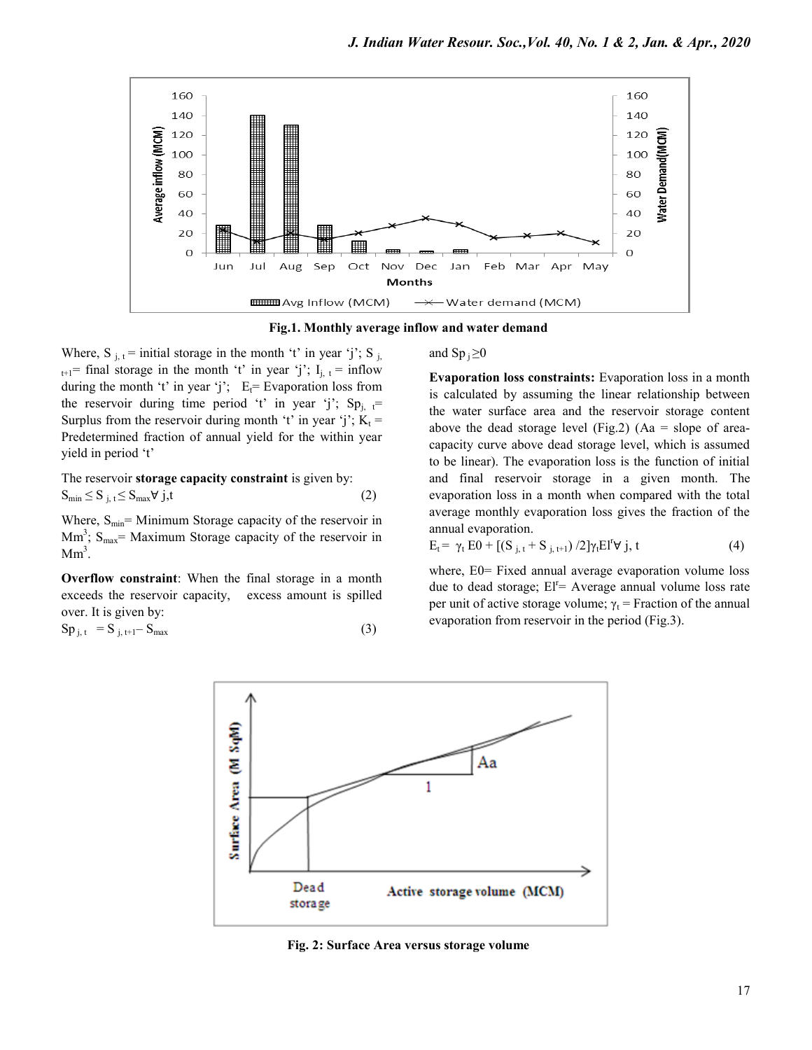

**Fig.1. Monthly average inflow and water demand**

Where, S  $_{i,t}$  = initial storage in the month 't' in year 'j'; S  $_{i}$  $_{t+1}$ = final storage in the month 't' in year 'j'; I<sub>i, t</sub> = inflow during the month 't' in year 'j';  $E_t$ = Evaporation loss from the reservoir during time period 't' in year 'j'; Sp<sub>i, t</sub>= Surplus from the reservoir during month 't' in year 'j';  $K_t$  = Predetermined fraction of annual yield for the within year yield in period 't'

The reservoir **storage capacity constraint** is given by:  $S_{\min} \leq S_{i, t} \leq S_{\max} \forall j, t$  (2)

Where,  $S_{\text{min}}$  Minimum Storage capacity of the reservoir in  $\text{Mm}^3$ ;  $\text{S}_{\text{max}}$  = Maximum Storage capacity of the reservoir in  $Mm<sup>3</sup>$ .

**Overflow constraint**: When the final storage in a month exceeds the reservoir capacity, excess amount is spilled over. It is given by:

$$
Sp_{j,t} = S_{j,t+1} - S_{\text{max}} \tag{3}
$$

and  $\text{Sp }_{i} \geq 0$ 

**Evaporation loss constraints:** Evaporation loss in a month is calculated by assuming the linear relationship between the water surface area and the reservoir storage content above the dead storage level (Fig.2) (Aa = slope of areacapacity curve above dead storage level, which is assumed to be linear). The evaporation loss is the function of initial and final reservoir storage in a given month. The evaporation loss in a month when compared with the total average monthly evaporation loss gives the fraction of the annual evaporation.

$$
E_t = \gamma_t E0 + [(S_{j, t} + S_{j, t+1}) / 2] \gamma_t E I^t \forall j, t
$$
 (4)

where, E0= Fixed annual average evaporation volume loss due to dead storage;  $EI^r =$  Average annual volume loss rate per unit of active storage volume;  $\gamma_t$  = Fraction of the annual evaporation from reservoir in the period (Fig.3).



**Fig. 2: Surface Area versus storage volume**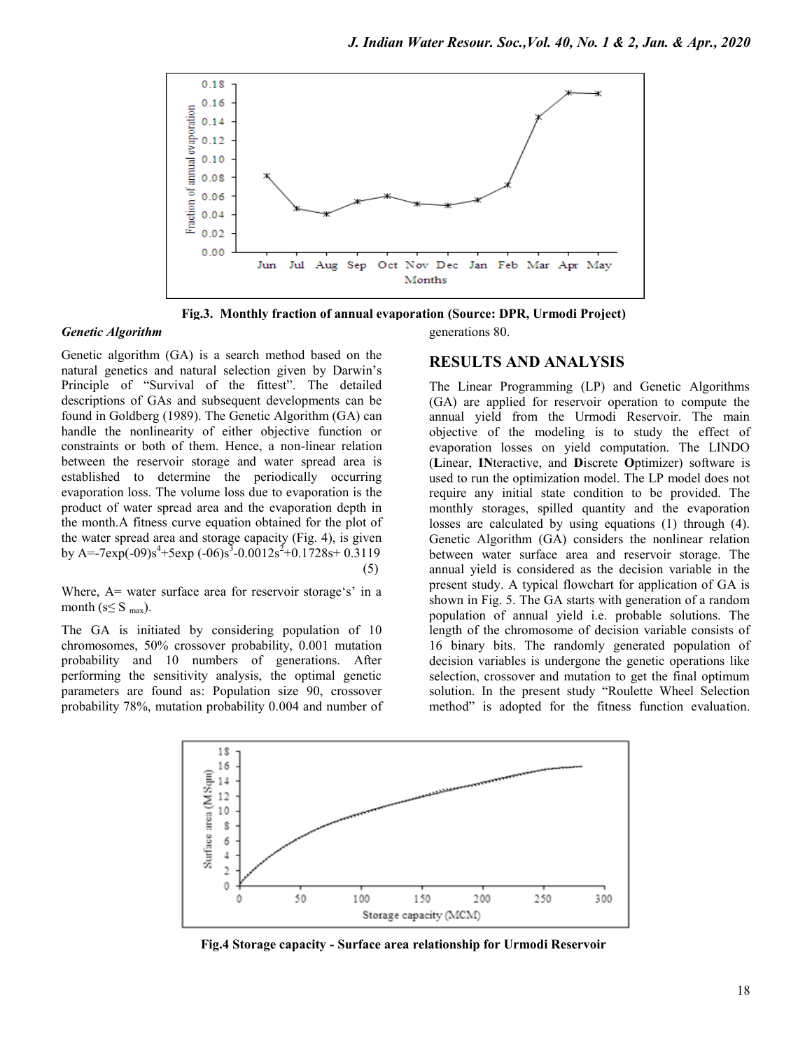

**Fig.3. Monthly fraction of annual evaporation (Source: DPR, Urmodi Project)**

#### *Genetic Algorithm*

Genetic algorithm (GA) is a search method based on the natural genetics and natural selection given by Darwin"s Principle of "Survival of the fittest". The detailed descriptions of GAs and subsequent developments can be found in Goldberg (1989). The Genetic Algorithm (GA) can handle the nonlinearity of either objective function or constraints or both of them. Hence, a non-linear relation between the reservoir storage and water spread area is established to determine the periodically occurring evaporation loss. The volume loss due to evaporation is the product of water spread area and the evaporation depth in the month.A fitness curve equation obtained for the plot of the water spread area and storage capacity (Fig. 4), is given by A=-7exp(-09)s<sup>4</sup>+5exp (-06)s<sup>3</sup>-0.0012s<sup>2</sup>+0.1728s+0.3119 (5)

Where,  $A=$  water surface area for reservoir storage's' in a month ( $s \leq S$  <sub>max</sub>).

The GA is initiated by considering population of 10 chromosomes, 50% crossover probability, 0.001 mutation probability and 10 numbers of generations. After performing the sensitivity analysis, the optimal genetic parameters are found as: Population size 90, crossover probability 78%, mutation probability 0.004 and number of generations 80.

### **RESULTS AND ANALYSIS**

The Linear Programming (LP) and Genetic Algorithms (GA) are applied for reservoir operation to compute the annual yield from the Urmodi Reservoir. The main objective of the modeling is to study the effect of evaporation losses on yield computation. The LINDO (**L**inear, **IN**teractive, and **D**iscrete **O**ptimizer) software is used to run the optimization model. The LP model does not require any initial state condition to be provided. The monthly storages, spilled quantity and the evaporation losses are calculated by using equations (1) through (4). Genetic Algorithm (GA) considers the nonlinear relation between water surface area and reservoir storage. The annual yield is considered as the decision variable in the present study. A typical flowchart for application of GA is shown in Fig. 5. The GA starts with generation of a random population of annual yield i.e. probable solutions. The length of the chromosome of decision variable consists of 16 binary bits. The randomly generated population of decision variables is undergone the genetic operations like selection, crossover and mutation to get the final optimum solution. In the present study "Roulette Wheel Selection method" is adopted for the fitness function evaluation.



**Fig.4 Storage capacity - Surface area relationship for Urmodi Reservoir**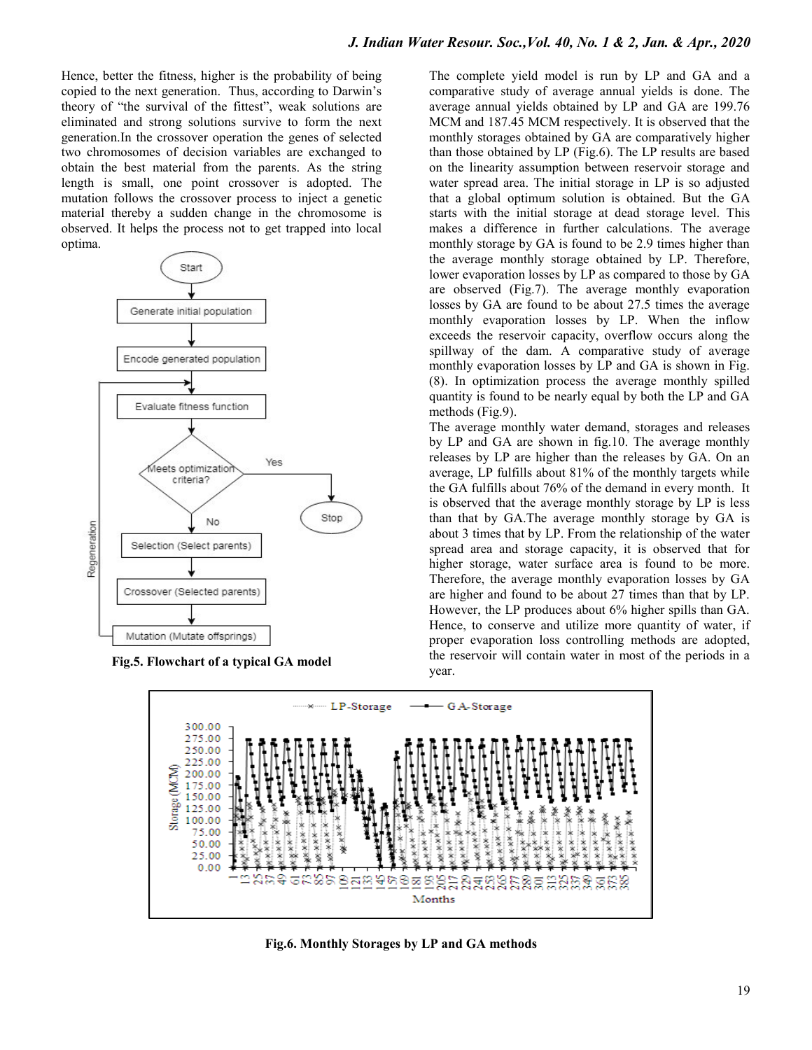Hence, better the fitness, higher is the probability of being copied to the next generation. Thus, according to Darwin"s theory of "the survival of the fittest", weak solutions are eliminated and strong solutions survive to form the next generation.In the crossover operation the genes of selected two chromosomes of decision variables are exchanged to obtain the best material from the parents. As the string length is small, one point crossover is adopted. The mutation follows the crossover process to inject a genetic material thereby a sudden change in the chromosome is observed. It helps the process not to get trapped into local optima.



**Fig.5. Flowchart of a typical GA model**

The complete yield model is run by LP and GA and a comparative study of average annual yields is done. The average annual yields obtained by LP and GA are 199.76 MCM and 187.45 MCM respectively. It is observed that the monthly storages obtained by GA are comparatively higher than those obtained by LP (Fig.6). The LP results are based on the linearity assumption between reservoir storage and water spread area. The initial storage in LP is so adjusted that a global optimum solution is obtained. But the GA starts with the initial storage at dead storage level. This makes a difference in further calculations. The average monthly storage by GA is found to be 2.9 times higher than the average monthly storage obtained by LP. Therefore, lower evaporation losses by LP as compared to those by GA are observed (Fig.7). The average monthly evaporation losses by GA are found to be about 27.5 times the average monthly evaporation losses by LP. When the inflow exceeds the reservoir capacity, overflow occurs along the spillway of the dam. A comparative study of average monthly evaporation losses by LP and GA is shown in Fig. (8). In optimization process the average monthly spilled quantity is found to be nearly equal by both the LP and GA methods (Fig.9).

The average monthly water demand, storages and releases by LP and GA are shown in fig.10. The average monthly releases by LP are higher than the releases by GA. On an average, LP fulfills about 81% of the monthly targets while the GA fulfills about 76% of the demand in every month. It is observed that the average monthly storage by LP is less than that by GA.The average monthly storage by GA is about 3 times that by LP. From the relationship of the water spread area and storage capacity, it is observed that for higher storage, water surface area is found to be more. Therefore, the average monthly evaporation losses by GA are higher and found to be about 27 times than that by LP. However, the LP produces about 6% higher spills than GA. Hence, to conserve and utilize more quantity of water, if proper evaporation loss controlling methods are adopted, the reservoir will contain water in most of the periods in a year.



**Fig.6. Monthly Storages by LP and GA methods**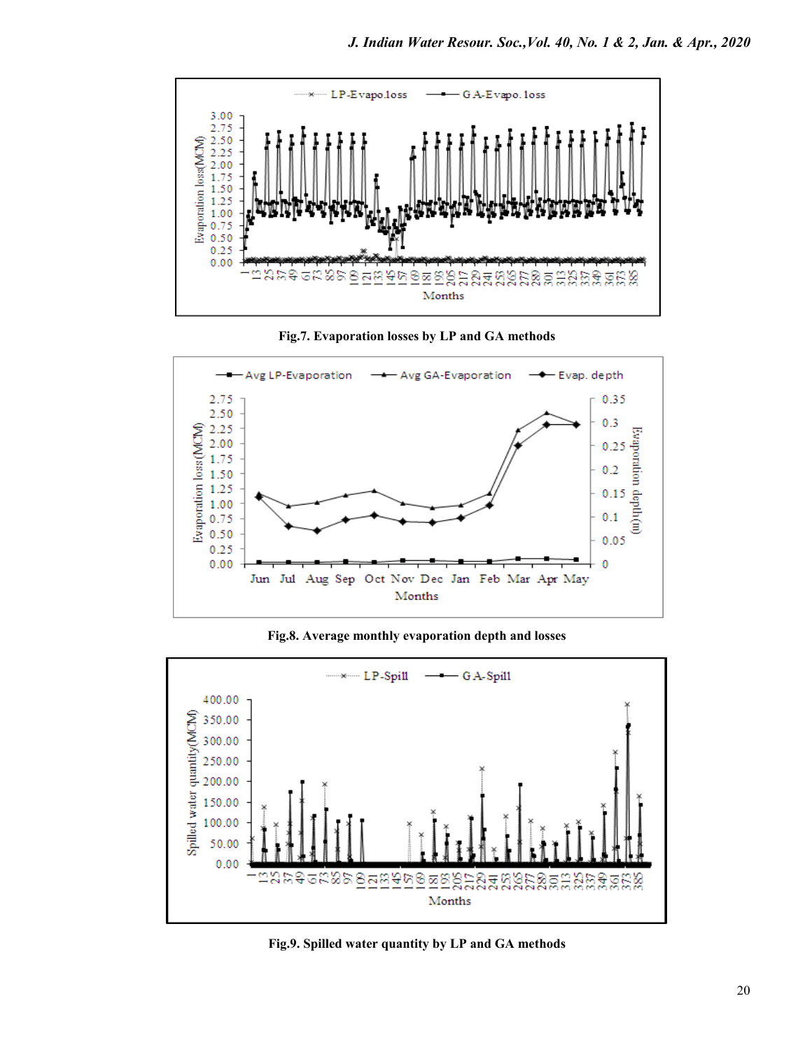

**Fig.7. Evaporation losses by LP and GA methods**



**Fig.8. Average monthly evaporation depth and losses**



**Fig.9. Spilled water quantity by LP and GA methods**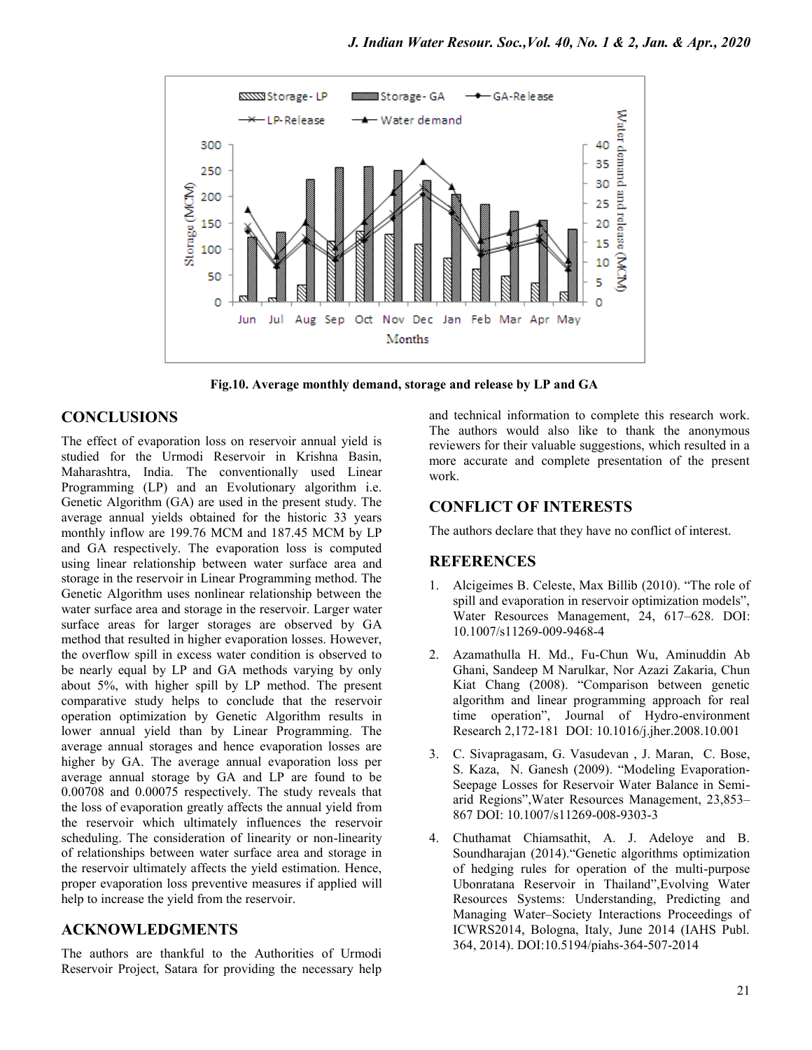

**Fig.10. Average monthly demand, storage and release by LP and GA**

## **CONCLUSIONS**

The effect of evaporation loss on reservoir annual yield is studied for the Urmodi Reservoir in Krishna Basin, Maharashtra, India. The conventionally used Linear Programming (LP) and an Evolutionary algorithm i.e. Genetic Algorithm (GA) are used in the present study. The average annual yields obtained for the historic 33 years monthly inflow are 199.76 MCM and 187.45 MCM by LP and GA respectively. The evaporation loss is computed using linear relationship between water surface area and storage in the reservoir in Linear Programming method. The Genetic Algorithm uses nonlinear relationship between the water surface area and storage in the reservoir. Larger water surface areas for larger storages are observed by GA method that resulted in higher evaporation losses. However, the overflow spill in excess water condition is observed to be nearly equal by LP and GA methods varying by only about 5%, with higher spill by LP method. The present comparative study helps to conclude that the reservoir operation optimization by Genetic Algorithm results in lower annual yield than by Linear Programming. The average annual storages and hence evaporation losses are higher by GA. The average annual evaporation loss per average annual storage by GA and LP are found to be 0.00708 and 0.00075 respectively. The study reveals that the loss of evaporation greatly affects the annual yield from the reservoir which ultimately influences the reservoir scheduling. The consideration of linearity or non-linearity of relationships between water surface area and storage in the reservoir ultimately affects the yield estimation. Hence, proper evaporation loss preventive measures if applied will help to increase the yield from the reservoir.

## **ACKNOWLEDGMENTS**

The authors are thankful to the Authorities of Urmodi Reservoir Project, Satara for providing the necessary help

and technical information to complete this research work. The authors would also like to thank the anonymous reviewers for their valuable suggestions, which resulted in a more accurate and complete presentation of the present work.

## **CONFLICT OF INTERESTS**

The authors declare that they have no conflict of interest.

## **REFERENCES**

- 1. Alcigeimes B. Celeste, Max Billib (2010). "The role of spill and evaporation in reservoir optimization models", Water Resources Management, 24, 617–628. DOI: 10.1007/s11269-009-9468-4
- 2. Azamathulla H. Md., Fu-Chun Wu, Aminuddin Ab Ghani, Sandeep M Narulkar, Nor Azazi Zakaria, Chun Kiat Chang (2008). "Comparison between genetic algorithm and linear programming approach for real time operation", Journal of Hydro-environment Research 2,172-181 DOI: 10.1016/j.jher.2008.10.001
- 3. C. Sivapragasam, G. Vasudevan , J. Maran, C. Bose, S. Kaza, N. Ganesh (2009). "Modeling Evaporation-Seepage Losses for Reservoir Water Balance in Semiarid Regions",Water Resources Management, 23,853– 867 DOI: 10.1007/s11269-008-9303-3
- 4. Chuthamat Chiamsathit, A. J. Adeloye and B. Soundharajan (2014)."Genetic algorithms optimization of hedging rules for operation of the multi-purpose Ubonratana Reservoir in Thailand",Evolving Water Resources Systems: Understanding, Predicting and Managing Water–Society Interactions Proceedings of ICWRS2014, Bologna, Italy, June 2014 (IAHS Publ. 364, 2014). DOI:10.5194/piahs-364-507-2014